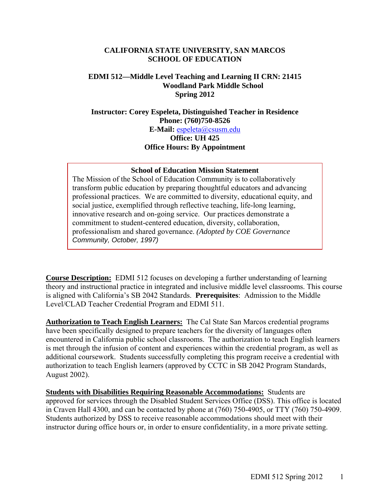### **CALIFORNIA STATE UNIVERSITY, SAN MARCOS SCHOOL OF EDUCATION**

# **EDMI 512—Middle Level Teaching and Learning II CRN: 21415 Woodland Park Middle School Spring 2012**

# **Instructor: Corey Espeleta, Distinguished Teacher in Residence Phone: (760)750-8526 E-Mail:** espeleta@csusm.edu **Office: UH 425 Office Hours: By Appointment**

#### **School of Education Mission Statement**

The Mission of the School of Education Community is to collaboratively transform public education by preparing thoughtful educators and advancing professional practices. We are committed to diversity, educational equity, and social justice, exemplified through reflective teaching, life-long learning, innovative research and on-going service. Our practices demonstrate a commitment to student-centered education, diversity, collaboration, professionalism and shared governance. *(Adopted by COE Governance Community, October, 1997)* 

**Course Description:** EDMI 512 focuses on developing a further understanding of learning theory and instructional practice in integrated and inclusive middle level classrooms. This course is aligned with California's SB 2042 Standards. **Prerequisites**: Admission to the Middle Level/CLAD Teacher Credential Program and EDMI 511.

 **Authorization to Teach English Learners:** The Cal State San Marcos credential programs have been specifically designed to prepare teachers for the diversity of languages often encountered in California public school classrooms. The authorization to teach English learners is met through the infusion of content and experiences within the credential program, as well as additional coursework. Students successfully completing this program receive a credential with authorization to teach English learners (approved by CCTC in SB 2042 Program Standards, August 2002).

**Students with Disabilities Requiring Reasonable Accommodations:** Students are approved for services through the Disabled Student Services Office (DSS). This office is located in Craven Hall 4300, and can be contacted by phone at (760) 750-4905, or TTY (760) 750-4909. Students authorized by DSS to receive reasonable accommodations should meet with their instructor during office hours or, in order to ensure confidentiality, in a more private setting.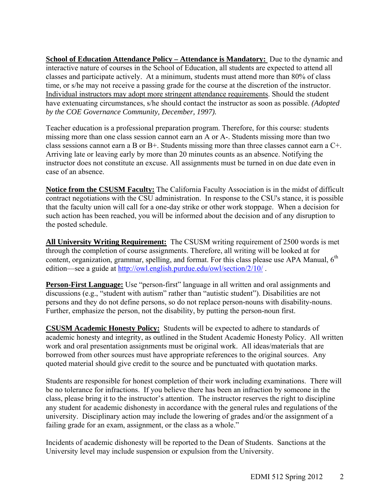**<u>School of Education Attendance Policy – Attendance is Mandatory:</u> Due to the dynamic and** interactive nature of courses in the School of Education, all students are expected to attend all classes and participate actively. At a minimum, students must attend more than 80% of class time, or s/he may not receive a passing grade for the course at the discretion of the instructor. Individual instructors may adopt more stringent attendance requirements. Should the student have extenuating circumstances, s/he should contact the instructor as soon as possible. *(Adopted by the COE Governance Community, December, 1997).* 

Teacher education is a professional preparation program. Therefore, for this course: students missing more than one class session cannot earn an A or A-. Students missing more than two class sessions cannot earn a B or B+. Students missing more than three classes cannot earn a C+. Arriving late or leaving early by more than 20 minutes counts as an absence. Notifying the instructor does not constitute an excuse. All assignments must be turned in on due date even in case of an absence.

**Notice from the CSUSM Faculty:** The California Faculty Association is in the midst of difficult contract negotiations with the CSU administration. In response to the CSU's stance, it is possible that the faculty union will call for a one-day strike or other work stoppage. When a decision for such action has been reached, you will be informed about the decision and of any disruption to the posted schedule.

 **All University Writing Requirement:** The CSUSM writing requirement of 2500 words is met edition—see a guide at http://owl.english.purdue.edu/owl/section/2/10/. through the completion of course assignments. Therefore, all writing will be looked at for content, organization, grammar, spelling, and format. For this class please use APA Manual,  $6<sup>th</sup>$ 

**Person-First Language:** Use "person-first" language in all written and oral assignments and discussions (e.g., "student with autism" rather than "autistic student"). Disabilities are not persons and they do not define persons, so do not replace person-nouns with disability-nouns. Further, emphasize the person, not the disability, by putting the person-noun first.

**CSUSM Academic Honesty Policy:** Students will be expected to adhere to standards of academic honesty and integrity, as outlined in the Student Academic Honesty Policy. All written work and oral presentation assignments must be original work. All ideas/materials that are borrowed from other sources must have appropriate references to the original sources. Any quoted material should give credit to the source and be punctuated with quotation marks.

Students are responsible for honest completion of their work including examinations. There will be no tolerance for infractions. If you believe there has been an infraction by someone in the class, please bring it to the instructor's attention. The instructor reserves the right to discipline any student for academic dishonesty in accordance with the general rules and regulations of the university. Disciplinary action may include the lowering of grades and/or the assignment of a failing grade for an exam, assignment, or the class as a whole."

Incidents of academic dishonesty will be reported to the Dean of Students. Sanctions at the University level may include suspension or expulsion from the University.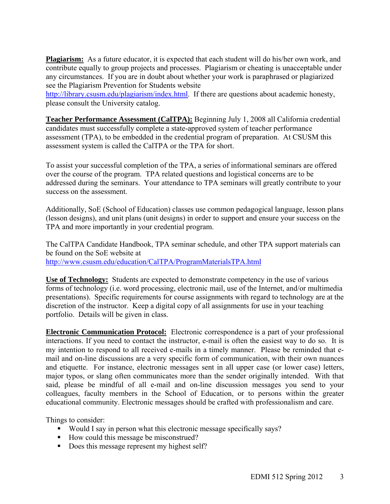**Plagiarism:** As a future educator, it is expected that each student will do his/her own work, and contribute equally to group projects and processes. Plagiarism or cheating is unacceptable under any circumstances. If you are in doubt about whether your work is paraphrased or plagiarized see the Plagiarism Prevention for Students website

http://library.csusm.edu/plagiarism/index.html. If there are questions about academic honesty, please consult the University catalog.

**Teacher Performance Assessment (CalTPA):** Beginning July 1, 2008 all California credential candidates must successfully complete a state-approved system of teacher performance assessment (TPA), to be embedded in the credential program of preparation. At CSUSM this assessment system is called the CalTPA or the TPA for short.

To assist your successful completion of the TPA, a series of informational seminars are offered over the course of the program. TPA related questions and logistical concerns are to be addressed during the seminars. Your attendance to TPA seminars will greatly contribute to your success on the assessment.

Additionally, SoE (School of Education) classes use common pedagogical language, lesson plans (lesson designs), and unit plans (unit designs) in order to support and ensure your success on the TPA and more importantly in your credential program.

The CalTPA Candidate Handbook, TPA seminar schedule, and other TPA support materials can be found on the SoE website at http://www.csusm.edu/education/CalTPA/ProgramMaterialsTPA.html

**Use of Technology:** Students are expected to demonstrate competency in the use of various forms of technology (i.e. word processing, electronic mail, use of the Internet, and/or multimedia presentations). Specific requirements for course assignments with regard to technology are at the discretion of the instructor. Keep a digital copy of all assignments for use in your teaching portfolio. Details will be given in class.

**Electronic Communication Protocol:** Electronic correspondence is a part of your professional interactions. If you need to contact the instructor, e-mail is often the easiest way to do so. It is my intention to respond to all received e-mails in a timely manner. Please be reminded that email and on-line discussions are a very specific form of communication, with their own nuances and etiquette. For instance, electronic messages sent in all upper case (or lower case) letters, major typos, or slang often communicates more than the sender originally intended. With that said, please be mindful of all e-mail and on-line discussion messages you send to your colleagues, faculty members in the School of Education, or to persons within the greater educational community. Electronic messages should be crafted with professionalism and care.

Things to consider:

- Would I say in person what this electronic message specifically says?
- How could this message be misconstrued?
- Does this message represent my highest self?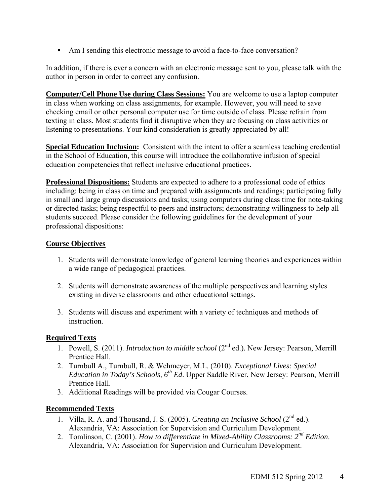Am I sending this electronic message to avoid a face-to-face conversation?

In addition, if there is ever a concern with an electronic message sent to you, please talk with the author in person in order to correct any confusion.

**Computer/Cell Phone Use during Class Sessions:** You are welcome to use a laptop computer in class when working on class assignments, for example. However, you will need to save checking email or other personal computer use for time outside of class. Please refrain from texting in class. Most students find it disruptive when they are focusing on class activities or listening to presentations. Your kind consideration is greatly appreciated by all!

**Special Education Inclusion:** Consistent with the intent to offer a seamless teaching credential in the School of Education, this course will introduce the collaborative infusion of special education competencies that reflect inclusive educational practices.

**Professional Dispositions:** Students are expected to adhere to a professional code of ethics including: being in class on time and prepared with assignments and readings; participating fully in small and large group discussions and tasks; using computers during class time for note-taking or directed tasks; being respectful to peers and instructors; demonstrating willingness to help all students succeed. Please consider the following guidelines for the development of your professional dispositions:

# **Course Objectives**

- 1. Students will demonstrate knowledge of general learning theories and experiences within a wide range of pedagogical practices.
- 2. Students will demonstrate awareness of the multiple perspectives and learning styles existing in diverse classrooms and other educational settings.
- 3. Students will discuss and experiment with a variety of techniques and methods of **instruction**

# **Required Texts**

- 1. Powell, S. (2011). *Introduction to middle school* (2<sup>nd</sup> ed.). New Jersey: Pearson, Merrill Prentice Hall.
- 2. Turnbull A., Turnbull, R. & Wehmeyer, M.L. (2010). *Exceptional Lives: Special Education in Today's Schools, 6th Ed*. Upper Saddle River, New Jersey: Pearson, Merrill Prentice Hall.
- 3. Additional Readings will be provided via Cougar Courses.

# **Recommended Texts**

- 1. Villa, R. A. and Thousand, J. S. (2005). *Creating an Inclusive School* (2<sup>nd</sup> ed.). Alexandria, VA: Association for Supervision and Curriculum Development.
- 2. Tomlinson, C. (2001). *How to differentiate in Mixed-Ability Classrooms: 2nd Edition*. Alexandria, VA: Association for Supervision and Curriculum Development.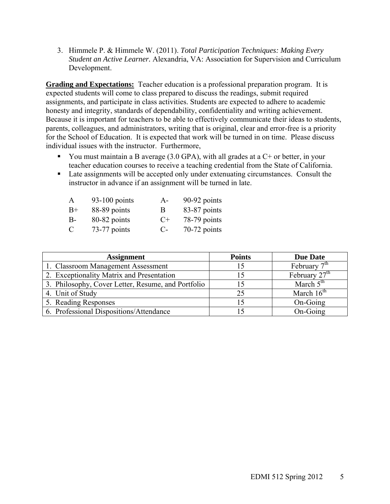3. Himmele P. & Himmele W. (2011). *Total Participation Techniques: Making Every Student an Active Learner.* Alexandria, VA: Association for Supervision and Curriculum Development.

**Grading and Expectations:** Teacher education is a professional preparation program. It is expected students will come to class prepared to discuss the readings, submit required assignments, and participate in class activities. Students are expected to adhere to academic honesty and integrity, standards of dependability, confidentiality and writing achievement. Because it is important for teachers to be able to effectively communicate their ideas to students, parents, colleagues, and administrators, writing that is original, clear and error-free is a priority for the School of Education. It is expected that work will be turned in on time. Please discuss individual issues with the instructor. Furthermore,

- You must maintain a B average  $(3.0 \text{ GPA})$ , with all grades at a C+ or better, in your teacher education courses to receive a teaching credential from the State of California.
- Late assignments will be accepted only under extenuating circumstances. Consult the instructor in advance if an assignment will be turned in late.

| $\mathsf{A}$ | $93-100$ points | $A -$ | 90-92 points   |
|--------------|-----------------|-------|----------------|
| $B+$         | 88-89 points    | B     | 83-87 points   |
| <b>B-</b>    | 80-82 points    | $C+$  | 78-79 points   |
| C            | 73-77 points    | $C$ - | $70-72$ points |

| <b>Assignment</b>                                  | <b>Points</b> | <b>Due Date</b> |
|----------------------------------------------------|---------------|-----------------|
| 1. Classroom Management Assessment                 |               | February $7th$  |
| 2. Exceptionality Matrix and Presentation          |               | February $27th$ |
| 3. Philosophy, Cover Letter, Resume, and Portfolio |               | March $5th$     |
| 4. Unit of Study                                   | 25            | March $16th$    |
| 5. Reading Responses                               |               | On-Going        |
| 6. Professional Dispositions/Attendance            |               | On-Going        |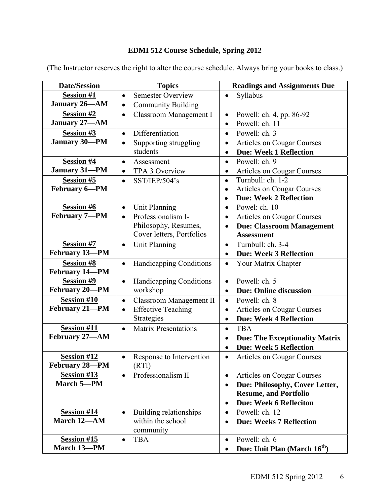# **EDMI 512 Course Schedule, Spring 2012**

| <b>Date/Session</b>               | <b>Topics</b>                               | <b>Readings and Assignments Due</b>                   |
|-----------------------------------|---------------------------------------------|-------------------------------------------------------|
| <b>Session #1</b>                 | Semester Overview<br>$\bullet$              | Syllabus<br>$\bullet$                                 |
| January 26-AM                     | <b>Community Building</b><br>$\bullet$      |                                                       |
| <b>Session #2</b>                 | Classroom Management I<br>$\bullet$         | Powell: ch. 4, pp. 86-92<br>$\bullet$                 |
| January 27-AM                     |                                             | Powell: ch. 11<br>$\bullet$                           |
| <b>Session #3</b>                 | Differentiation<br>$\bullet$                | Powell: ch. 3<br>$\bullet$                            |
| <b>January 30-PM</b>              | Supporting struggling<br>$\bullet$          | Articles on Cougar Courses<br>$\bullet$               |
|                                   | students                                    | <b>Due: Week 1 Reflection</b><br>$\bullet$            |
| <b>Session #4</b>                 | Assessment<br>$\bullet$                     | Powell: ch. 9<br>$\bullet$                            |
| <b>January 31-PM</b>              | TPA 3 Overview<br>$\bullet$                 | Articles on Cougar Courses<br>$\bullet$               |
| <b>Session #5</b>                 | SST/IEP/504's<br>$\bullet$                  | Turnbull: ch. 1-2<br>$\bullet$                        |
| February 6-PM                     |                                             | <b>Articles on Cougar Courses</b>                     |
|                                   |                                             | <b>Due: Week 2 Reflection</b><br>$\bullet$            |
| <b>Session #6</b>                 | <b>Unit Planning</b><br>$\bullet$           | Powel: ch. 10<br>$\bullet$                            |
| February 7-PM                     | Professionalism I-<br>$\bullet$             | <b>Articles on Cougar Courses</b><br>٠                |
|                                   | Philosophy, Resumes,                        | <b>Due: Classroom Management</b><br>$\bullet$         |
|                                   | Cover letters, Portfolios                   | <b>Assessment</b>                                     |
| <b>Session #7</b>                 | Unit Planning<br>$\bullet$                  | Turnbull: ch. 3-4<br>$\bullet$                        |
| February 13-PM                    |                                             | <b>Due: Week 3 Reflection</b><br>$\bullet$            |
| <b>Session #8</b>                 | <b>Handicapping Conditions</b><br>$\bullet$ | Your Matrix Chapter<br>$\bullet$                      |
| February 14-PM                    |                                             |                                                       |
| <b>Session #9</b>                 | Handicapping Conditions<br>$\bullet$        | Powell: ch. 5<br>$\bullet$                            |
| February 20-PM                    | workshop                                    | <b>Due: Online discussion</b><br>$\bullet$            |
| <b>Session #10</b>                | Classroom Management II<br>$\bullet$        | Powell: ch. 8<br>$\bullet$                            |
| February 21-PM                    | <b>Effective Teaching</b><br>$\bullet$      | Articles on Cougar Courses<br>$\bullet$               |
|                                   | Strategies                                  | <b>Due: Week 4 Reflection</b><br>$\bullet$            |
| <b>Session #11</b>                | <b>Matrix Presentations</b><br>$\bullet$    | <b>TBA</b><br>$\bullet$                               |
| February 27-AM                    |                                             | <b>Due: The Exceptionality Matrix</b><br>$\bullet$    |
|                                   |                                             | <b>Due: Week 5 Reflection</b><br>$\bullet$            |
| <b>Session #12</b>                | Response to Intervention<br>$\bullet$       | <b>Articles on Cougar Courses</b><br>$\bullet$        |
| February 28-PM                    | (RTI)                                       |                                                       |
| <b>Session #13</b>                | Professionalism II<br>$\bullet$             | Articles on Cougar Courses<br>$\bullet$               |
| March 5-PM                        |                                             | Due: Philosophy, Cover Letter,                        |
|                                   |                                             | <b>Resume, and Portfolio</b>                          |
|                                   |                                             | <b>Due: Week 6 Refleciton</b><br>$\bullet$            |
| <b>Session #14</b>                | Building relationships<br>$\bullet$         | Powell: ch. 12<br>$\bullet$                           |
| March 12-AM                       | within the school                           | <b>Due: Weeks 7 Reflection</b>                        |
|                                   | community                                   |                                                       |
| <b>Session #15</b><br>March 13-PM | <b>TBA</b><br>$\bullet$                     | Powell: ch. 6<br>$\bullet$                            |
|                                   |                                             | Due: Unit Plan (March 16 <sup>th</sup> )<br>$\bullet$ |

(The Instructor reserves the right to alter the course schedule. Always bring your books to class.)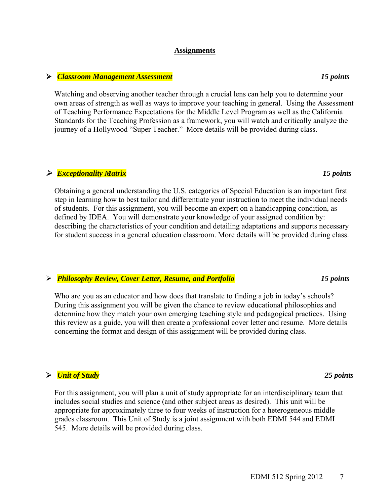### **Assignments**

#### *Classroom Management Assessment 15 points*

Watching and observing another teacher through a crucial lens can help you to determine your own areas of strength as well as ways to improve your teaching in general. Using the Assessment of Teaching Performance Expectations for the Middle Level Program as well as the California Standards for the Teaching Profession as a framework, you will watch and critically analyze the journey of a Hollywood "Super Teacher." More details will be provided during class.

# *Exceptionality Matrix 15 points*

Obtaining a general understanding the U.S. categories of Special Education is an important first step in learning how to best tailor and differentiate your instruction to meet the individual needs of students. For this assignment, you will become an expert on a handicapping condition, as defined by IDEA. You will demonstrate your knowledge of your assigned condition by: describing the characteristics of your condition and detailing adaptations and supports necessary for student success in a general education classroom. More details will be provided during class.

### *Philosophy Review, Cover Letter, Resume, and Portfolio 15 points*

Who are you as an educator and how does that translate to finding a job in today's schools? During this assignment you will be given the chance to review educational philosophies and determine how they match your own emerging teaching style and pedagogical practices. Using this review as a guide, you will then create a professional cover letter and resume. More details concerning the format and design of this assignment will be provided during class.

# *Unit of Study 25 points*

For this assignment, you will plan a unit of study appropriate for an interdisciplinary team that includes social studies and science (and other subject areas as desired). This unit will be appropriate for approximately three to four weeks of instruction for a heterogeneous middle grades classroom. This Unit of Study is a joint assignment with both EDMI 544 and EDMI 545. More details will be provided during class.